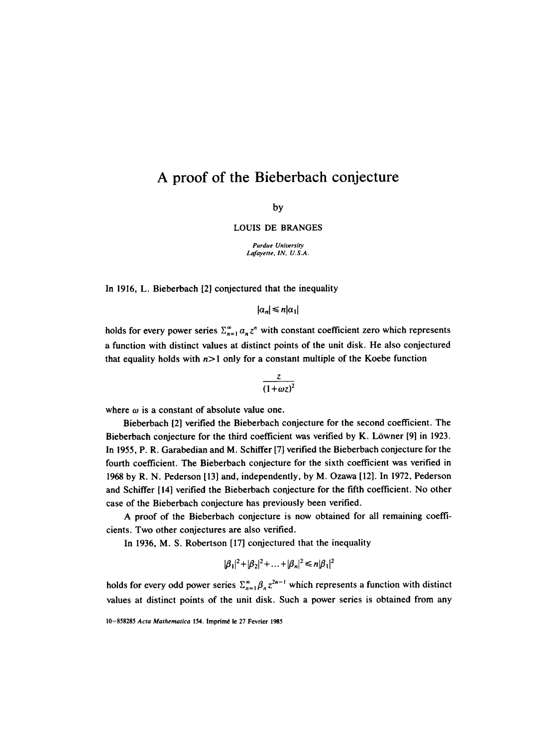## **A proof of the Bieberbach**  conjecture

by

LOUIS DE BRANGES

*Purdue University Lafayette, IN, U.S.A.* 

In 1916, L. Bieberbach [2] conjectured that the inequality

 $|\alpha_n| \leq n |\alpha_1|$ 

holds for every power series  $\sum_{n=1}^{\infty} a_n z^n$  with constant coefficient zero which represents a function with distinct values at distinct points of the unit disk. He also conjectured that equality holds with  $n>1$  only for a constant multiple of the Koebe function

$$
\frac{z}{(1+\omega z)^2}
$$

where  $\omega$  is a constant of absolute value one.

Bieberbach [2] verified the Bieberbach conjecture for the second coefficient. The Bieberbach conjecture for the third coefficient was verified by K. Löwner  $[9]$  in 1923. In 1955, P. R. Garabedian and M. Schiffer [7] verified the Bieberbach conjecture for the fourth coefficient. The Bieberbach conjecture for the sixth coefficient was verified in 1968 by R. N. Pederson [13] and, independently, by M. Ozawa [12]. In 1972, Pederson and Schiffer [14] verified the Bieberbach conjecture for the fifth coefficient. No other case of the Bieberbach conjecture has previously been verified.

A proof of the Bieberbach conjecture is now obtained for all remaining coefficients. Two other conjectures are also verified.

In 1936, M. S. Robertson [17] conjectured that the inequality

$$
|\beta_1|^2 + |\beta_2|^2 + \ldots + |\beta_n|^2 \le n|\beta_1|^2
$$

holds for every odd power series  $\sum_{n=1}^{\infty} \beta_n z^{2n-1}$  which represents a function with distinct values at distinct points of the unit disk. Such a power series is obtained from any

<sup>10-858285</sup> Acta Mathematica 154. Imprimé le 27 Fevrier 1985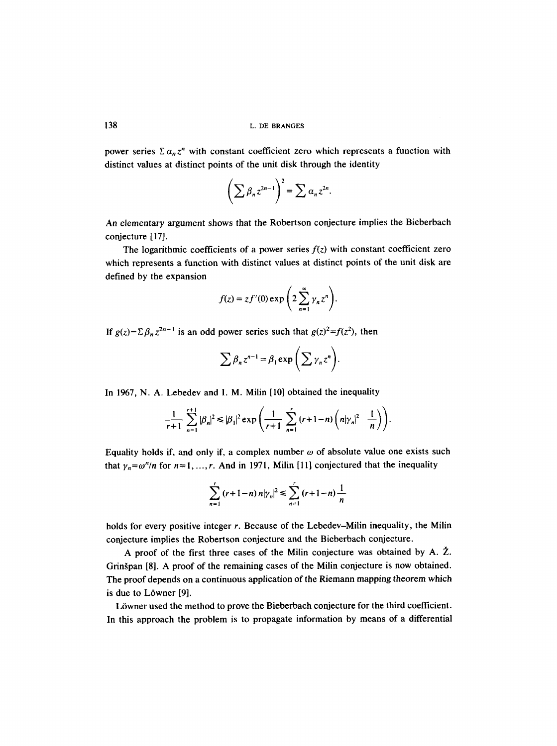power series  $\sum \alpha_n z^n$  with constant coefficient zero which represents a function with distinct values at distinct points of the unit disk through the identity

$$
\left(\sum \beta_n z^{2n-1}\right)^2 = \sum \alpha_n z^{2n}.
$$

An elementary argument shows that the Robertson conjecture implies the Bieberbach conjecture [17].

The logarithmic coefficients of a power series  $f(z)$  with constant coefficient zero which represents a function with distinct values at distinct points of the unit disk are defined by the expansion

$$
f(z) = z f'(0) \exp\left(2 \sum_{n=1}^{\infty} \gamma_n z^n\right).
$$

*If g(z)=* $\sum \beta_n z^{2n-1}$  *is an odd power series such that*  $g(z)^2 = f(z^2)$ *, then* 

$$
\sum \beta_n z^{n-1} = \beta_1 \exp \left( \sum \gamma_n z^n \right).
$$

In 1967, N. A. Lebedev and I. M. Milin [10] obtained the inequality

$$
\frac{1}{r+1}\sum_{n=1}^{r+1}|\beta_n|^2\leq |\beta_1|^2\exp\left(\frac{1}{r+1}\sum_{n=1}^{r}(r+1-n)\left(n|\gamma_n|^2-\frac{1}{n}\right)\right).
$$

Equality holds if, and only if, a complex number  $\omega$  of absolute value one exists such that  $\gamma_n = \omega^n/n$  for  $n = 1, ..., r$ . And in 1971, Milin [11] conjectured that the inequality

$$
\sum_{n=1}^{r} (r+1-n) n |\gamma_n|^2 \leq \sum_{n=1}^{r} (r+1-n) \frac{1}{n}
$$

holds for every positive integer r. Because of the Lebedev–Milin inequality, the Milin conjecture implies the Robertson conjecture and the Bieberbach conjecture.

A proof of the first three cases of the Milin conjecture was obtained by A.  $\check{Z}$ . Grinšpan [8]. A proof of the remaining cases of the Milin conjecture is now obtained. The proof depends on a continuous application of the Riemann mapping theorem which is due to Löwner [9].

Löwner used the method to prove the Bieberbach conjecture for the third coefficient. In this approach the problem is to propagate information by means of a differential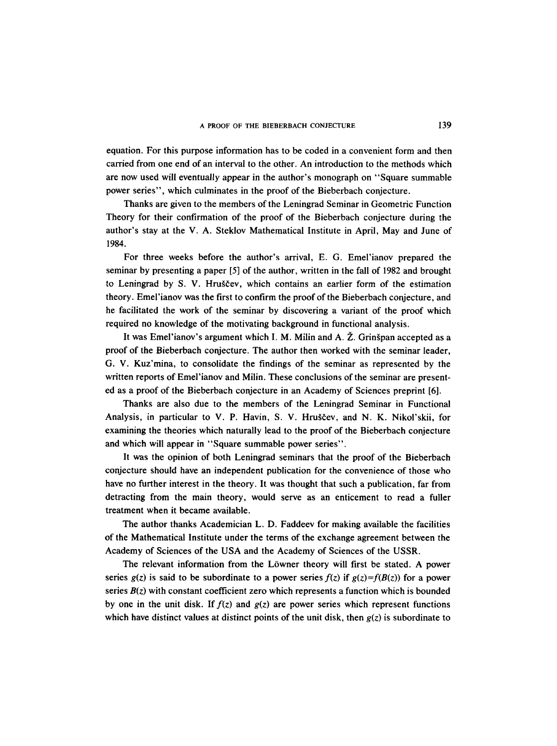equation. For this purpose information has to be coded in a convenient form and then carried from one end of an interval to the other. An introduction to the methods which are now used will eventually appear in the author's monograph on "Square summable power series", which culminates in the proof of the Bieberbach conjecture.

Thanks are given to the members of the Leningrad Seminar in Geometric Function Theory for their confirmation of the proof of the Bieberbach conjecture during the author's stay at the V. A. Steklov Mathematical Institute in April, May and June of 1984.

For three weeks before the author's arrival, E. G. Emel'ianov prepared the seminar by presenting a paper [5] of the author, written in the fall of 1982 and brought to Leningrad by S. V. Hruščev, which contains an earlier form of the estimation theory. Emel'ianov was the first to confirm the proof of the Bieberbach conjecture, and he facilitated the work of the seminar by discovering a variant of the proof which required no knowledge of the motivating background in functional analysis.

It was Emel'ianov's argument which I. M. Milin and A.  $\zeta$ . Grinšpan accepted as a proof of the Bieberbach conjecture. The author then worked with the seminar leader, G. V. Kuz'mina, to consolidate the findings of the seminar as represented by the written reports of Emel'ianov and Milin. These conclusions of the seminar are presented as a proof of the Bieberbach conjecture in an Academy of Sciences preprint [6].

Thanks are also due to the members of the Leningrad Seminar in Functional Analysis, in particular to V. P. Havin, S. V. Hruščev, and N. K. Nikol'skii, for examining the theories which naturally lead to the proof of the Bieberbach conjecture and which will appear in "Square summable power series".

It was the opinion of both Leningrad seminars that the proof of the Bieberbach conjecture should have an independent publication for the convenience of those who have no further interest in the theory. It was thought that such a publication, far from detracting from the main theory, would serve as an enticement to read a fuller treatment when it became available.

The author thanks Academician L. D. Faddeev for making available the facilities of the Mathematical Institute under the terms of the exchange agreement between the Academy of Sciences of the USA and the Academy of Sciences of the USSR.

The relevant information from the Löwner theory will first be stated. A power series  $g(z)$  is said to be subordinate to a power series  $f(z)$  if  $g(z)=f(B(z))$  for a power series  $B(z)$  with constant coefficient zero which represents a function which is bounded by one in the unit disk. If  $f(z)$  and  $g(z)$  are power series which represent functions which have distinct values at distinct points of the unit disk, then  $g(z)$  is subordinate to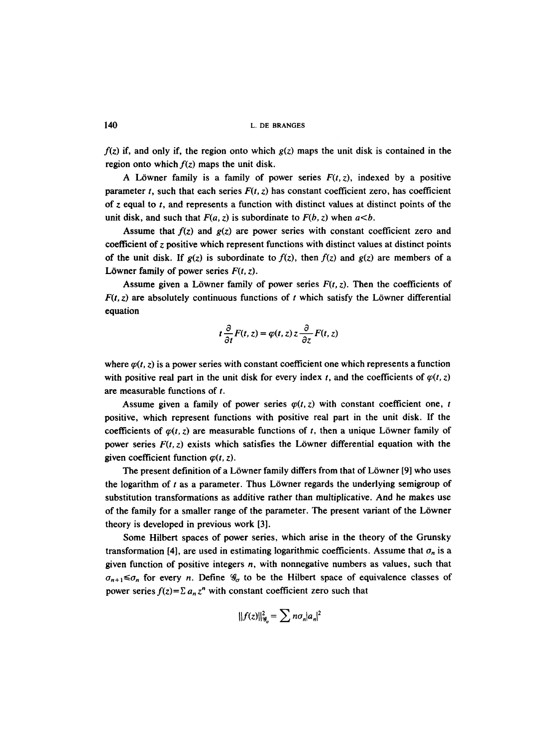*f(z)* if, and only if, the region onto which *g(z)* maps the unit disk is contained in the region onto which  $f(z)$  maps the unit disk.

A Löwner family is a family of power series  $F(t, z)$ , indexed by a positive parameter t, such that each series  $F(t, z)$  has constant coefficient zero, has coefficient of z equal to  $t$ , and represents a function with distinct values at distinct points of the unit disk, and such that  $F(a, z)$  is subordinate to  $F(b, z)$  when  $a \leq b$ .

Assume that  $f(z)$  and  $g(z)$  are power series with constant coefficient zero and coefficient of z positive which represent functions with distinct values at distinct points of the unit disk. If  $g(z)$  is subordinate to  $f(z)$ , then  $f(z)$  and  $g(z)$  are members of a Löwner family of power series  $F(t, z)$ .

Assume given a Löwner family of power series  $F(t, z)$ . Then the coefficients of  $F(t, z)$  are absolutely continuous functions of t which satisfy the Löwner differential equation

$$
t\frac{\partial}{\partial t}F(t,z)=\varphi(t,z)z\frac{\partial}{\partial z}F(t,z)
$$

where  $\varphi(t, z)$  is a power series with constant coefficient one which represents a function with positive real part in the unit disk for every index t, and the coefficients of  $\varphi(t, z)$ are measurable functions of t.

Assume given a family of power series  $\varphi(t, z)$  with constant coefficient one, t positive, which represent functions with positive real part in the unit disk. If the coefficients of  $\varphi(t, z)$  are measurable functions of t, then a unique Löwner family of power series  $F(t, z)$  exists which satisfies the Löwner differential equation with the given coefficient function  $\varphi(t, z)$ .

The present definition of a Löwner family differs from that of Löwner [9] who uses the logarithm of  $t$  as a parameter. Thus Löwner regards the underlying semigroup of substitution transformations as additive rather than multiplicative. And he makes use of the family for a smaller range of the parameter. The present variant of the L6wner theory is developed in previous work [3].

Some Hilbert spaces of power series, which arise in the theory of the Grunsky transformation [4], are used in estimating logarithmic coefficients. Assume that  $\sigma_n$  is a given function of positive integers n, with nonnegative numbers as values, such that  $\sigma_{n+1} \leq \sigma_n$  for every n. Define  $\mathcal{G}_{\sigma}$  to be the Hilbert space of equivalence classes of power series  $f(z) = \sum a_n z^n$  with constant coefficient zero such that

$$
||f(z)||_{\mathcal{G}_\sigma}^2 = \sum n \sigma_n |a_n|^2
$$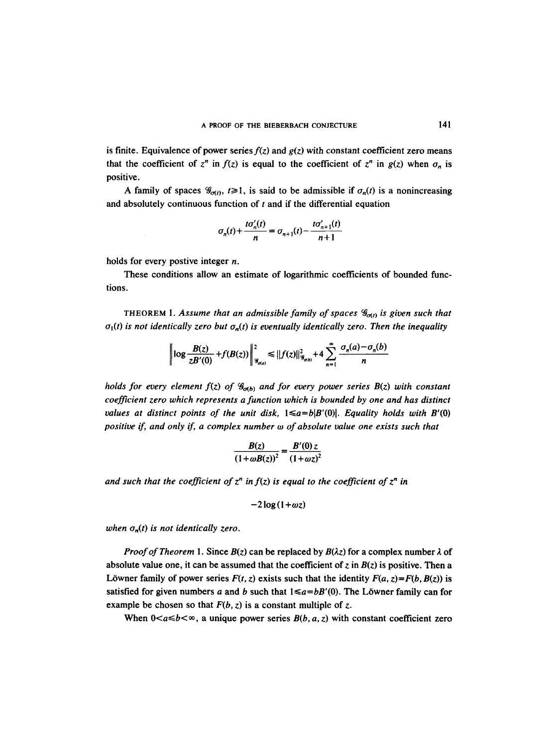is finite. Equivalence of power series  $f(z)$  and  $g(z)$  with constant coefficient zero means that the coefficient of  $z^n$  in  $f(z)$  is equal to the coefficient of  $z^n$  in  $g(z)$  when  $\sigma_n$  is positive.

A family of spaces  $\mathcal{G}_{\sigma(t)}$ ,  $t \ge 1$ , is said to be admissible if  $\sigma_n(t)$  is a nonincreasing and absolutely continuous function of  $t$  and if the differential equation

$$
\sigma_n(t) + \frac{t\sigma'_n(t)}{n} = \sigma_{n+1}(t) - \frac{t\sigma'_{n+1}(t)}{n+1}
$$

holds for every postive integer n.

These conditions allow an estimate of logarithmic coefficients of bounded functions.

THEOREM 1. Assume that an admissible family of spaces  $\mathscr{G}_{\sigma(t)}$  is given such that  $\sigma_1(t)$  is not identically zero but  $\sigma_n(t)$  is eventually identically zero. Then the inequality

$$
\left\|\log\frac{B(z)}{zB'(0)}+f(B(z))\right\|_{\mathcal{G}_{\sigma(a)}}^2\leq ||f(z)||_{\mathcal{G}_{\sigma(b)}}^2+4\sum_{n=1}^{\infty}\frac{\sigma_n(a)-\sigma_n(b)}{n}
$$

*holds for every element f(z) of*  $\mathcal{G}_{\sigma(b)}$  *and for every power series B(z) with constant coefficient zero which represents a function which is bounded by one and has distinct values at distinct points of the unit disk,*  $1 \le a = b|B'(0)|$ . Equality holds with B'(0) *positive if, and only if, a complex number w of absolute value one exists such that* 

$$
\frac{B(z)}{\left(1+\omega B(z)\right)^2}=\frac{B'(0)z}{\left(1+\omega z\right)^2}
$$

and such that the coefficient of  $z^n$  in  $f(z)$  is equal to the coefficient of  $z^n$  in

$$
-2\log(1+\omega z)
$$

*when*  $\sigma_n(t)$  *is not identically zero.* 

*Proof of Theorem 1.* Since  $B(z)$  can be replaced by  $B(\lambda z)$  for a complex number  $\lambda$  of absolute value one, it can be assumed that the coefficient of z in  $B(z)$  is positive. Then a Löwner family of power series  $F(t, z)$  exists such that the identity  $F(a, z) = F(b, B(z))$  is satisfied for given numbers a and b such that  $1 \le a = bB'(0)$ . The Löwner family can for example be chosen so that  $F(b, z)$  is a constant multiple of z.

When  $0 < a \le b < \infty$ , a unique power series  $B(b, a, z)$  with constant coefficient zero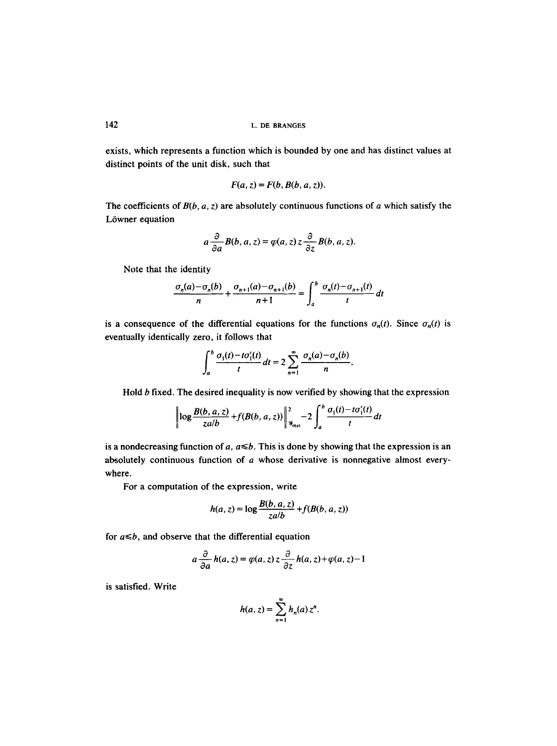exists, which represents a function which is bounded by one and has distinct values at distinct points of the unit disk, such that

$$
F(a, z) = F(b, B(b, a, z)).
$$

The coefficients of  $B(b, a, z)$  are absolutely continuous functions of a which satisfy the Löwner equation

$$
a\frac{\partial}{\partial a}B(b,a,z)=\varphi(a,z)z\frac{\partial}{\partial z}B(b,a,z).
$$

Note that the identity

$$
\frac{\sigma_n(a) - \sigma_n(b)}{n} + \frac{\sigma_{n+1}(a) - \sigma_{n+1}(b)}{n+1} = \int_a^b \frac{\sigma_n(t) - \sigma_{n+1}(t)}{t} dt
$$

is a consequence of the differential equations for the functions  $\sigma_n(t)$ . Since  $\sigma_n(t)$  is eventually identically zero, it follows that

$$
\int_a^b \frac{\sigma_1(t) - t\sigma'_1(t)}{t} dt = 2 \sum_{n=1}^\infty \frac{\sigma_n(a) - \sigma_n(b)}{n}
$$

Hold b fixed. The desired inequality is now verified by showing that the expression

$$
\left|\log\frac{B(b,a,z)}{zab}+f(B(b,a,z))\right|\Big|_{\mathscr{G}_{\sigma(a)}}^2-2\int_a^b\frac{\sigma_1(t)-t\sigma_1'(t)}{t}\,dt
$$

is a nondecreasing function of  $a, a \leq b$ . This is done by showing that the expression is an absolutely continuous function of a whose derivative is nonnegative almost everywhere.

For a computation of the expression, write

$$
h(a, z) = \log \frac{B(b, a, z)}{zab} + f(B(b, a, z))
$$

for  $a \leq b$ , and observe that the differential equation

$$
a\frac{\partial}{\partial a}h(a,z)=\varphi(a,z)z\frac{\partial}{\partial z}h(a,z)+\varphi(a,z)-1
$$

is satisfied. Write

$$
h(a, z) = \sum_{n=1}^{\infty} h_n(a) z^n.
$$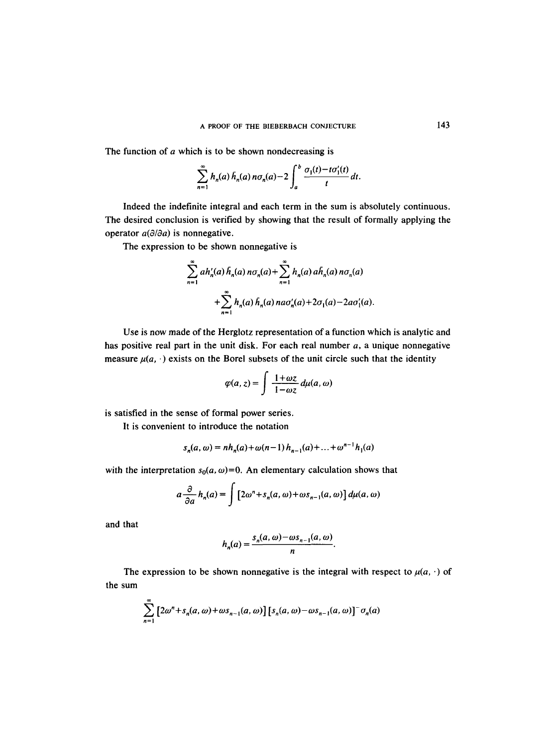The function of a which is to be shown nondecreasing is

$$
\sum_{n=1}^{\infty} h_n(a) \overline{h}_n(a) n \sigma_n(a) - 2 \int_a^b \frac{\sigma_1(t) - t \sigma'_1(t)}{t} dt.
$$

Indeed the indefinite integral and each term in the sum is absolutely continuous. The desired conclusion is verified by showing that the result of formally applying the operator  $a(\partial/\partial a)$  is nonnegative.

The expression to be shown nonnegative is

$$
\sum_{n=1}^{\infty} ah'_n(a) h_n(a) n\sigma_n(a) + \sum_{n=1}^{\infty} h_n(a) ah_n(a) n\sigma_n(a)
$$
  
+
$$
\sum_{n=1}^{\infty} h_n(a) h_n(a) n a\sigma'_n(a) + 2\sigma_1(a) - 2a\sigma'_1(a).
$$

Use is now made of the Herglotz representation of a function which is analytic and has positive real part in the unit disk. For each real number  $a$ , a unique nonnegative measure  $\mu(a, \cdot)$  exists on the Borel subsets of the unit circle such that the identity

$$
\varphi(a,z)=\int \frac{1+\omega z}{1-\omega z}\,d\mu(a,\omega)
$$

is satisfied in the sense of formal power series.

It is convenient to introduce the notation

$$
s_n(a, \omega) = nh_n(a) + \omega(n-1)h_{n-1}(a) + ... + \omega^{n-1}h_1(a)
$$

with the interpretation  $s_0(a, \omega) = 0$ . An elementary calculation shows that

$$
a\frac{\partial}{\partial a}h_n(a) = \int \left[2\omega^n + s_n(a,\omega) + \omega s_{n-1}(a,\omega)\right] d\mu(a,\omega)
$$

and that

$$
h_n(a) = \frac{s_n(a, \omega) - \omega s_{n-1}(a, \omega)}{n}.
$$

The expression to be shown nonnegative is the integral with respect to  $\mu(a, \cdot)$  of the sum

$$
\sum_{n=1}^{\infty} \left[2\omega^n + s_n(a,\omega) + \omega s_{n-1}(a,\omega)\right] \left[s_n(a,\omega) - \omega s_{n-1}(a,\omega)\right]^{-} \sigma_n(a)
$$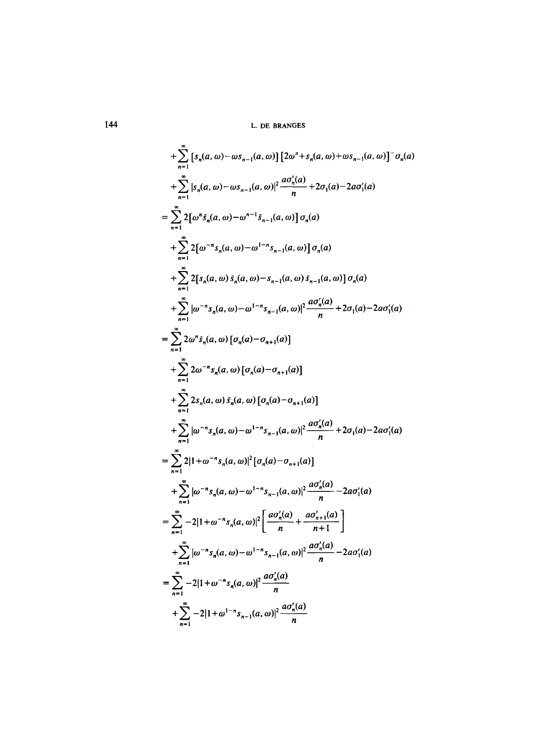+ 
$$
\sum_{n=1}^{\infty} [s_n(a, \omega) - \omega s_{n-1}(a, \omega)] [2\omega^n + s_n(a, \omega) + \omega s_{n-1}(a, \omega)]^{-} \sigma_n(a)
$$
  
+ 
$$
\sum_{n=1}^{\infty} |s_n(a, \omega) - \omega s_{n-1}(a, \omega)|^2 \frac{a\sigma'_n(a)}{n} + 2\sigma_1(a) - 2a\sigma'_1(a)
$$
  
= 
$$
\sum_{n=1}^{\infty} 2[\omega^n s_n(a, \omega) - \omega^{n-1} s_{n-1}(a, \omega)] \sigma_n(a)
$$
  
+ 
$$
\sum_{n=1}^{\infty} 2[\sigma^{n-1} s_n(a, \omega) - \omega^{1-n} s_{n-1}(a, \omega)] \sigma_n(a)
$$
  
+ 
$$
\sum_{n=1}^{\infty} 2[s_n(a, \omega) s_n(a, \omega) - s_{n-1}(a, \omega) s_{n-1}(a, \omega)] \sigma_n(a)
$$
  
+ 
$$
\sum_{n=1}^{\infty} 2[\sigma^{n-1} s_n(a, \omega) - \omega^{1-n} s_{n-1}(a, \omega)]^2 \frac{a\sigma'_n(a)}{n} + 2\sigma_1(a) - 2a\sigma'_1(a)
$$
  
= 
$$
\sum_{n=1}^{\infty} 2\omega^n s_n(a, \omega) [\sigma_n(a) - \sigma_{n+1}(a)]
$$
  
+ 
$$
\sum_{n=1}^{\infty} 2s_n(a, \omega) \bar{s}_n(a, \omega) [\sigma_n(a) - \sigma_{n+1}(a)]
$$
  
+ 
$$
\sum_{n=1}^{\infty} 2s_n(a, \omega) \bar{s}_n(a, \omega) [\sigma_n(a) - \sigma_{n+1}(a)]
$$
  
+ 
$$
\sum_{n=1}^{\infty} |w^{-n} s_n(a, \omega) - \omega^{1-n} s_{n-1}(a, \omega)|^2 \frac{a\sigma'_n(a)}{n} + 2\sigma_1(a) - 2a\sigma'_1(a)
$$
  
= 
$$
\sum_{n=1}^{\infty} 2|1 + \omega^{-n} s_n(a, \omega) - \omega^{1-n} s_{n-1}(a, \omega)|^2 \frac{a\sigma'_n(a)}{n} - 2a\sigma'_1(a)
$$
  
= 
$$
\sum_{n=1}
$$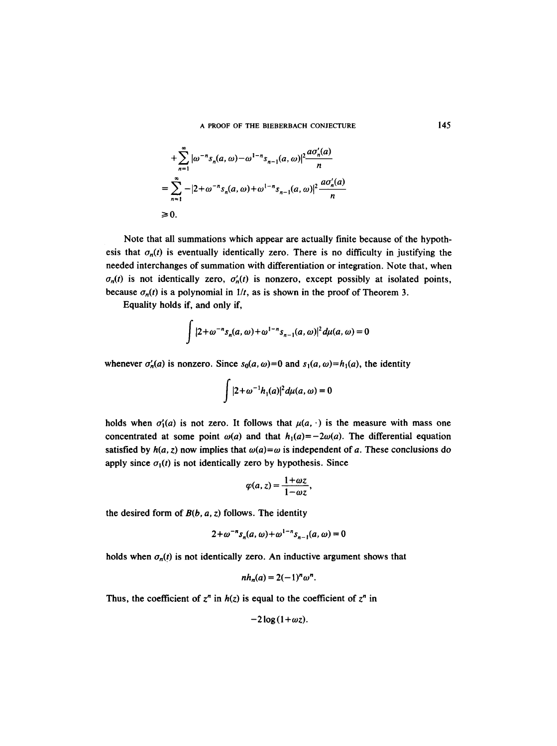$$
+\sum_{n=1}^{\infty} |\omega^{-n} s_n(a, \omega) - \omega^{1-n} s_{n-1}(a, \omega)|^2 \frac{a \sigma'_n(a)}{n}
$$
  
= 
$$
\sum_{n=1}^{\infty} -|2 + \omega^{-n} s_n(a, \omega) + \omega^{1-n} s_{n-1}(a, \omega)|^2 \frac{a \sigma'_n(a)}{n}
$$
  
\ge 0.

Note that all summations which appear are actually finite because of the hypothesis that  $\sigma_n(t)$  is eventually identically zero. There is no difficulty in justifying the needed interchanges of summation with differentiation or integration. Note that, when  $\sigma_n(t)$  is not identically zero,  $\sigma'_n(t)$  is nonzero, except possibly at isolated points, because  $\sigma_n(t)$  is a polynomial in  $1/t$ , as is shown in the proof of Theorem 3.

Equality holds if, and only if,

 $\ddot{\phantom{0}}$ 

$$
\int |2+\omega^{-n}s_n(a,\omega)+\omega^{1-n}s_{n-1}(a,\omega)|^2 d\mu(a,\omega)=0
$$

whenever  $\sigma'_n(a)$  is nonzero. Since  $s_0(a, \omega) = 0$  and  $s_1(a, \omega) = h_1(a)$ , the identity

$$
\int |2+\omega^{-1}h_1(a)|^2 d\mu(a,\omega)=0
$$

holds when  $\sigma'_1(a)$  is not zero. It follows that  $\mu(a, \cdot)$  is the measure with mass one concentrated at some point  $\omega(a)$  and that  $h_1(a) = -2\omega(a)$ . The differential equation satisfied by  $h(a, z)$  now implies that  $\omega(a) = \omega$  is independent of a. These conclusions do apply since  $\sigma_1(t)$  is not identically zero by hypothesis. Since

$$
\varphi(a,z)=\frac{1+\omega z}{1-\omega z},
$$

the desired form of *B(b, a, z)* follows. The identity

$$
2 + \omega^{-n} s_n(a, \omega) + \omega^{1-n} s_{n-1}(a, \omega) = 0
$$

holds when  $\sigma_n(t)$  is not identically zero. An inductive argument shows that

$$
nh_n(a) = 2(-1)^n \omega^n.
$$

Thus, the coefficient of  $z^n$  in  $h(z)$  is equal to the coefficient of  $z^n$  in

$$
-2\log(1+\omega z).
$$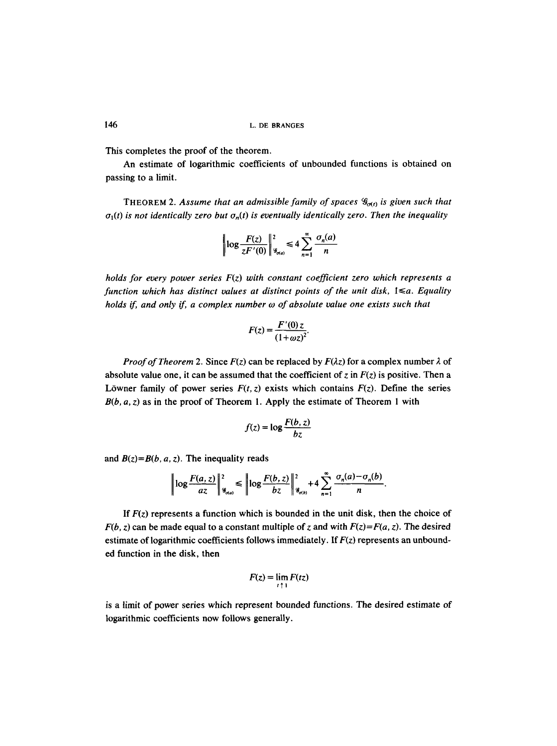This completes the proof of the theorem.

An estimate of logarithmic coefficients of unbounded functions is obtained on passing to a limit.

THEOREM 2. Assume that an admissible family of spaces  $\mathcal{G}_{\sigma(t)}$  is given such that  $\sigma_1(t)$  is not identically zero but  $\sigma_n(t)$  is eventually identically zero. Then the inequality

$$
\left|\log \frac{F(z)}{zF'(0)}\right|_{\mathcal{G}_{\alpha a}}^2 \leq 4 \sum_{n=1}^{\infty} \frac{\sigma_n(a)}{n}
$$

*holds for every power series F(z) with constant coefficient zero which represents a*   $f$ unction which has distinct values at distinct points of the unit disk,  $1 \le a$ . Equality *holds if, and only if, a complex number w of absolute value one exists such that* 

$$
F(z) = \frac{F'(0) z}{(1 + \omega z)^2}.
$$

*Proof of Theorem 2.* Since  $F(z)$  can be replaced by  $F(\lambda z)$  for a complex number  $\lambda$  of absolute value one, it can be assumed that the coefficient of z in  $F(z)$  is positive. Then a Löwner family of power series  $F(t, z)$  exists which contains  $F(z)$ . Define the series *B(b, a, z)* as in the proof of Theorem 1. Apply the estimate of Theorem 1 with

$$
f(z) = \log \frac{F(b, z)}{bz}
$$

and  $B(z) = B(b, a, z)$ . The inequality reads

$$
\left\|\log\frac{F(a,z)}{az}\right\|_{\mathscr{G}_{\sigma(a)}}^2\leqslant \left\|\log\frac{F(b,z)}{bz}\right\|_{\mathscr{G}_{\sigma(b)}}^2+4\sum_{n=1}^\infty\frac{\sigma_n(a)-\sigma_n(b)}{n}.
$$

If  $F(z)$  represents a function which is bounded in the unit disk, then the choice of *F(b, z)* can be made equal to a constant multiple of z and with  $F(z)=F(a, z)$ . The desired estimate of logarithmic coefficients follows immediately. If *F(z)* represents an unbounded function in the disk, then

$$
F(z) = \lim_{t \uparrow 1} F(tz)
$$

is a limit of power series which represent bounded functions. The desired estimate of logarithmic coefficients now follows generally.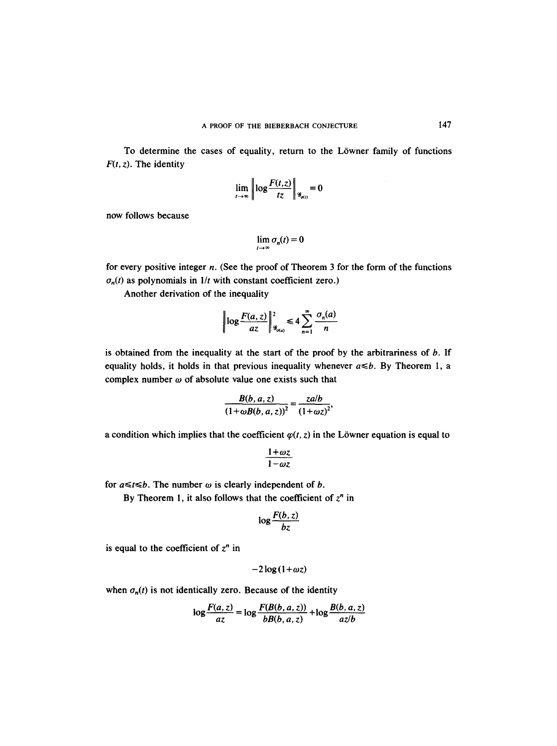To determine the cases of equality, return to the Löwner family of functions  $F(t, z)$ . The identity

$$
\lim_{t\to\infty}\left\|\log\frac{F(t,z)}{tz}\right\|_{\mathcal{G}_{\sigma(t)}}=0
$$

 $\mathbf{r}$ 

now follows because

$$
\lim_{t\to\infty}\sigma_n(t)=0
$$

for every positive integer  $n$ . (See the proof of Theorem 3 for the form of the functions  $\sigma_n(t)$  as polynomials in  $1/t$  with constant coefficient zero.)

Another derivation of the inequality

$$
\left|\log\frac{F(a,z)}{az}\right|^2_{\mathcal{G}_{\sigma(a)}}\leq 4\sum_{n=1}^\infty\frac{\sigma_n(a)}{n}
$$

is obtained from the inequality at the start of the proof by the arbitrariness of  $b$ . If equality holds, it holds in that previous inequality whenever  $a \le b$ . By Theorem 1, a complex number  $\omega$  of absolute value one exists such that

$$
\frac{B(b,a,z)}{\left(1+\omega B(b,a,z)\right)^2}=\frac{zalb}{\left(1+\omega z\right)^2},
$$

a condition which implies that the coefficient  $\varphi(t, z)$  in the Löwner equation is equal to

$$
\frac{1+\omega z}{1-\omega z}
$$

for  $a \le t \le b$ . The number  $\omega$  is clearly independent of  $b$ .

By Theorem 1, it also follows that the coefficient of  $z<sup>n</sup>$  in

$$
\log \frac{F(b,z)}{bz}
$$

is equal to the coefficient of  $z<sup>n</sup>$  in

$$
-2\log(1+\omega z)
$$

when  $\sigma_n(t)$  is not identically zero. Because of the identity

$$
\log \frac{F(a, z)}{az} = \log \frac{F(B(b, a, z))}{bB(b, a, z)} + \log \frac{B(b, a, z)}{az/b}
$$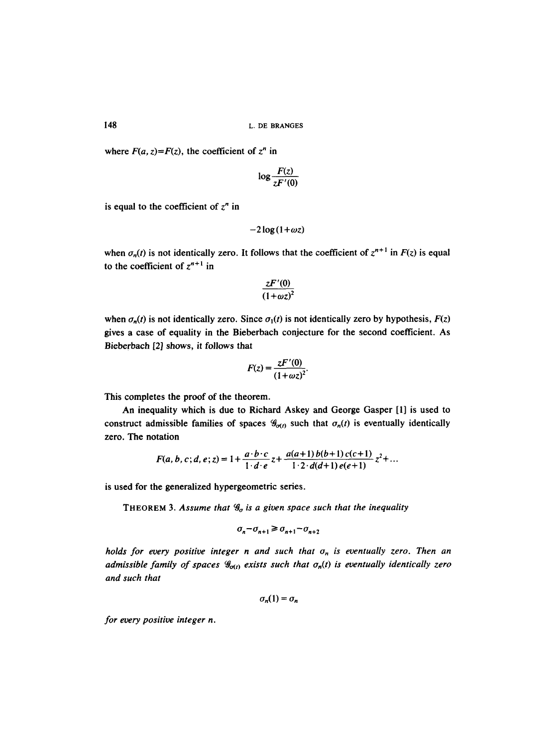where  $F(a, z) = F(z)$ , the coefficient of  $z^n$  in

$$
\log \frac{F(z)}{zF'(0)}
$$

is equal to the coefficient of  $z<sup>n</sup>$  in

$$
-2\log(1+\omega z)
$$

when  $\sigma_n(t)$  is not identically zero. It follows that the coefficient of  $z^{n+1}$  in  $F(z)$  is equal to the coefficient of  $z^{n+1}$  in

$$
\frac{zF'(0)}{\left(1+\omega z\right)^2}
$$

when  $\sigma_n(t)$  is not identically zero. Since  $\sigma_1(t)$  is not identically zero by hypothesis,  $F(z)$ gives a case of equality in the Bieberbach conjecture for the second coefficient. As Bieberbach [2] shows, it follows that

$$
F(z)=\frac{zF'(0)}{(1+\omega z)^2}.
$$

This completes the proof of the theorem.

An inequality which is due to Richard Askey and George Gasper [1] is used to construct admissible families of spaces  $\mathcal{G}_{\sigma(t)}$  such that  $\sigma_n(t)$  is eventually identically zero. The notation

$$
F(a, b, c; d, e; z) = 1 + \frac{a \cdot b \cdot c}{1 \cdot d \cdot e} z + \frac{a(a+1) b(b+1) c(c+1)}{1 \cdot 2 \cdot d(d+1) e(e+1)} z^{2} + ...
$$

is used for the generalized hypergeometric series.

THEOREM 3. Assume that  $\mathcal{G}_{\sigma}$  is a given space such that the inequality

$$
\sigma_n - \sigma_{n+1} \ge \sigma_{n+1} - \sigma_{n+2}
$$

*holds for every positive integer n and such that*  $\sigma_n$  *is eventually zero. Then an admissible family of spaces*  $\mathcal{G}_{\sigma(i)}$  *exists such that*  $\sigma_n(t)$  *is eventually identically zero and such that* 

$$
\sigma_n(1)=\sigma_n
$$

*for every positive integer n.*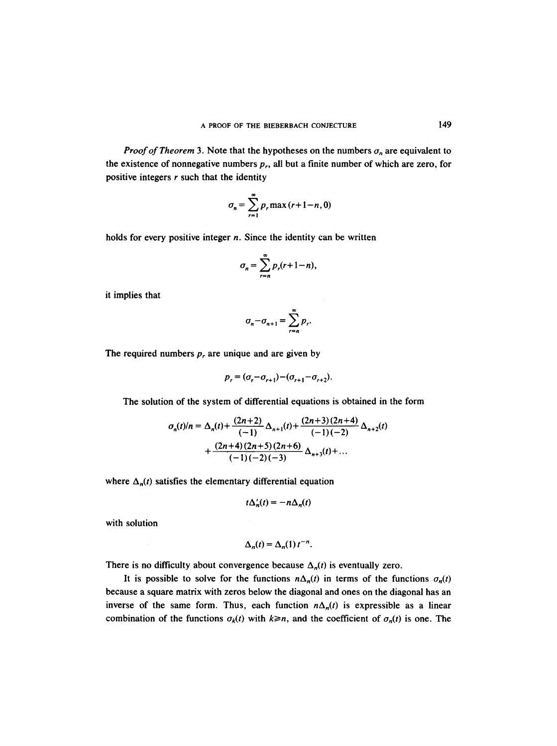*Proof of Theorem* 3. Note that the hypotheses on the numbers  $\sigma_n$  are equivalent to the existence of nonnegative numbers  $p_r$ , all but a finite number of which are zero, for positive integers  $r$  such that the identity

$$
\sigma_n = \sum_{r=1}^{\infty} p_r \max(r+1-n, 0)
$$

holds for every positive integer  $n$ . Since the identity can be written

$$
\sigma_n = \sum_{r=n}^{\infty} p_r(r+1-n),
$$

it implies that

$$
\sigma_n - \sigma_{n+1} = \sum_{r=n}^{\infty} p_r.
$$

The required numbers  $p_r$ , are unique and are given by

$$
p_r = (\sigma_r - \sigma_{r+1}) - (\sigma_{r+1} - \sigma_{r+2}).
$$

The solution of the system of differential equations is obtained in the form

$$
\sigma_n(t)/n = \Delta_n(t) + \frac{(2n+2)}{(-1)} \Delta_{n+1}(t) + \frac{(2n+3)(2n+4)}{(-1)(-2)} \Delta_{n+2}(t) + \frac{(2n+4)(2n+5)(2n+6)}{(-1)(-2)(-3)} \Delta_{n+3}(t) + \dots
$$

where  $\Delta_n(t)$  satisfies the elementary differential equation

$$
t\Delta_n'(t)=-n\Delta_n(t)
$$

with solution

$$
\Delta_n(t) = \Delta_n(1) t^{-n}.
$$

There is no difficulty about convergence because  $\Delta_n(t)$  is eventually zero.

It is possible to solve for the functions  $n\Delta_n(t)$  in terms of the functions  $\sigma_n(t)$ because a square matrix with zeros below the diagonal and ones on the diagonal has an inverse of the same form. Thus, each function  $n\Delta_n(t)$  is expressible as a linear combination of the functions  $\sigma_k(t)$  with  $k \geq n$ , and the coefficient of  $\sigma_n(t)$  is one. The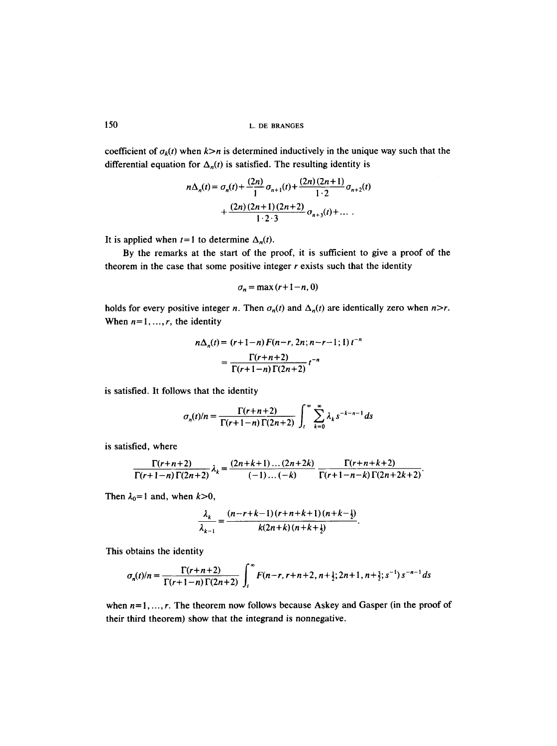coefficient of  $\sigma_k(t)$  when  $k>n$  is determined inductively in the unique way such that the differential equation for  $\Delta_n(t)$  is satisfied. The resulting identity is

$$
n\Delta_n(t) = \sigma_n(t) + \frac{(2n)}{1}\sigma_{n+1}(t) + \frac{(2n)(2n+1)}{1\cdot 2}\sigma_{n+2}(t) + \frac{(2n)(2n+1)(2n+2)}{1\cdot 2\cdot 3}\sigma_{n+3}(t) + \dots
$$

It is applied when  $t=1$  to determine  $\Delta_n(t)$ .

By the remarks at the start of the proof, it is sufficient to give a proof of the theorem in the case that some positive integer  $r$  exists such that the identity

$$
\sigma_n = \max(r+1-n, 0)
$$

holds for every positive integer *n*. Then  $\sigma_n(t)$  and  $\Delta_n(t)$  are identically zero when *n*>*r*. When  $n = 1, ..., r$ , the identity

$$
n\Delta_n(t) = (r+1-n) F(n-r, 2n; n-r-1; 1) t^{-n}
$$

$$
= \frac{\Gamma(r+n+2)}{\Gamma(r+1-n) \Gamma(2n+2)} t^{-n}
$$

is satisfied. It follows that the identity

$$
\sigma_n(t)/n = \frac{\Gamma(r+n+2)}{\Gamma(r+1-n)\Gamma(2n+2)} \int_t^{\infty} \sum_{k=0}^{\infty} \lambda_k s^{-k-n-1} ds
$$

is satisfied, where

$$
\frac{\Gamma(r+n+2)}{\Gamma(r+1-n)\Gamma(2n+2)}\lambda_k = \frac{(2n+k+1)\dots(2n+2k)}{(-1)\dots(-k)}\frac{\Gamma(r+n+k+2)}{\Gamma(r+1-n-k)\Gamma(2n+2k+2)}.
$$

Then  $\lambda_0 = 1$  and, when  $k > 0$ ,

$$
\frac{\lambda_k}{\lambda_{k-1}} = \frac{(n-r+k-1)(r+n+k+1)(n+k-\frac{1}{2})}{k(2n+k)(n+k+\frac{1}{2})}.
$$

This obtains the identity

$$
\sigma_n(t)/n = \frac{\Gamma(r+n+2)}{\Gamma(r+1-n)\Gamma(2n+2)} \int_t^{\infty} F(n-r, r+n+2, n+\frac{1}{2}; 2n+1, n+\frac{3}{2}; s^{-1}) s^{-n-1} ds
$$

when  $n=1, ..., r$ . The theorem now follows because Askey and Gasper (in the proof of their third theorem) show that the integrand is nonnegative.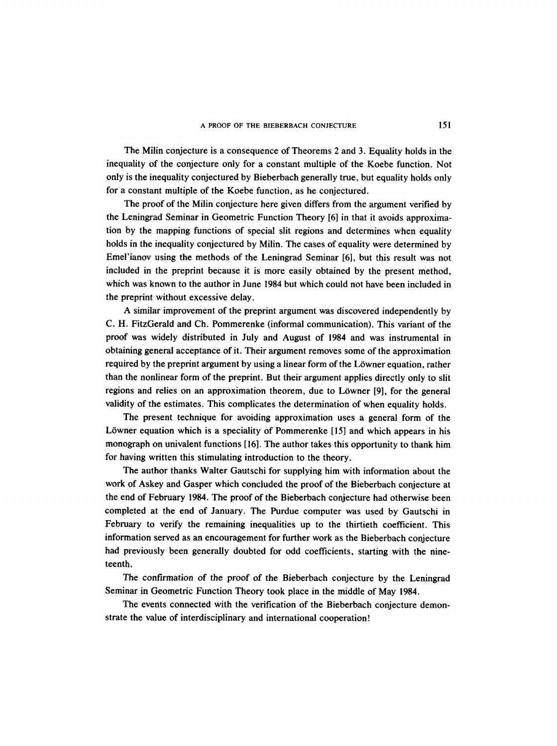The Milin conjecture is a consequence of Theorems 2 and 3. Equality holds in the inequality of the conjecture only for a constant multiple of the Koebe function. Not only is the inequality conjectured by Bieberbach generally true, but equality holds only for a constant multiple of the Koebe function, as he conjectured.

The proof of the Milin conjecture here given differs from the argument verified by the Leningrad Seminar in Geometric Function Theory [6] in that it avoids approximation by the mapping functions of special slit regions and determines when equality holds in the inequality conjectured by Milin. The cases of equality were determined by Emel'ianov using the methods of the Leningrad Seminar [6], but this result was not included in the preprint because it is more easily obtained by the present method, which was known to the author in June 1984 but which could not have been included in the preprint without excessive delay.

A similar improvement of the preprint argument was discovered independently by C. H. FitzGerald and Ch. Pommerenke (informal communication). This variant of the proof was widely distributed in July and August of 1984 and was instrumental in obtaining general acceptance of it. Their argument removes some of the approximation required by the preprint argument by using a linear form of the Löwner equation, rather than the nonlinear form of the preprint. But their argument applies directly only to slit regions and relies on an approximation theorem, due to Löwner [9], for the general validity of the estimates. This complicates the determination of when equality holds.

The present technique for avoiding approximation uses a general form of the Löwner equation which is a speciality of Pommerenke [15] and which appears in his monograph on univalent functions [16]. The author takes this opportunity to thank him for having written this stimulating introduction to the theory.

The author thanks Walter Gautschi for supplying him with information about the work of Askey and Gasper which concluded the proof of the Bieberbach conjecture at the end of February 1984. The proof of the Bieberbach conjecture had otherwise been completed at the end of January. The Purdue computer was used by Gautschi in February to verify the remaining inequalities up to the thirtieth coefficient. This information served as an encouragement for further work as the Bieberbach conjecture had previously been generally doubted for odd coefficients, starting with the nineteenth.

The confirmation of the proof of the Bieberbach conjecture by the Leningrad Seminar in Geometric Function Theory took place in the middle of May 1984.

The events connected with the verification of the Bieberbach conjecture demonstrate the value of interdisciplinary and international cooperation!